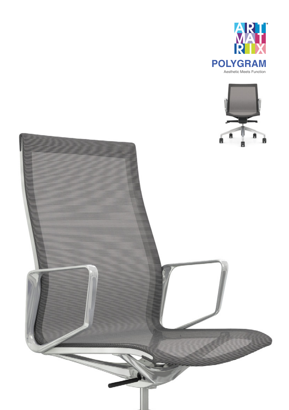



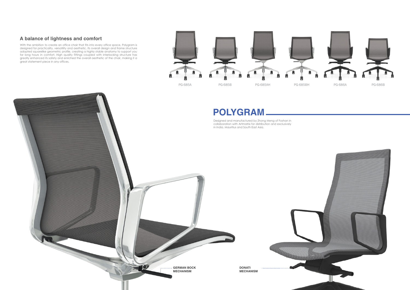



With the ambition to create an office chair that fits into every office space, Polygram is designed for practicality, versatility and aesthetic. Its overall design and frame structure adopted squarelike geometric profile, creating a highly stable anatomy to support you for long hours in comfort. High quality fittings coupled with interlocking structure has greatly enhanced its safety and enriched the overall aesthetic of the chair, making it a great statement piece in any offices.





# **POLYGRAM**

## **A balance of lightness and comfort**

Designed and manufactured by Zhong Meng of Foshan in collaboration with Artmatrix for distribution and exclusively in India, Mauritius and South East Asia.

> **DONATI MECHANISM**

. . . . . . . . . . . . . . . . . . . .